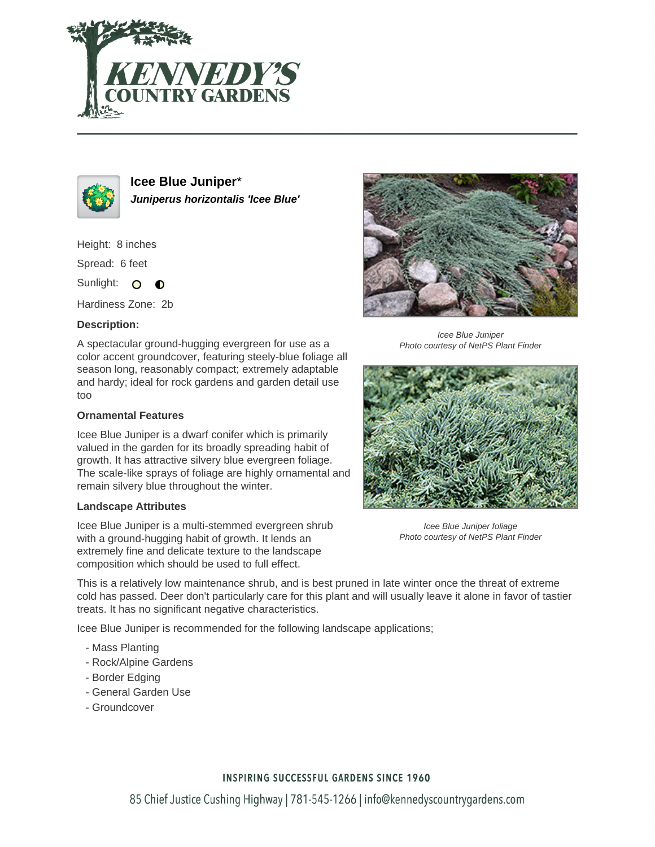



**Icee Blue Juniper**\* **Juniperus horizontalis 'Icee Blue'**

Height: 8 inches

Spread: 6 feet

Sunlight: O ∩

Hardiness Zone: 2b

## **Description:**

A spectacular ground-hugging evergreen for use as a color accent groundcover, featuring steely-blue foliage all season long, reasonably compact; extremely adaptable and hardy; ideal for rock gardens and garden detail use too

## **Ornamental Features**

Icee Blue Juniper is a dwarf conifer which is primarily valued in the garden for its broadly spreading habit of growth. It has attractive silvery blue evergreen foliage. The scale-like sprays of foliage are highly ornamental and remain silvery blue throughout the winter.

## **Landscape Attributes**

Icee Blue Juniper is a multi-stemmed evergreen shrub with a ground-hugging habit of growth. It lends an extremely fine and delicate texture to the landscape composition which should be used to full effect.

Icee Blue Juniper Photo courtesy of NetPS Plant Finder



Icee Blue Juniper foliage Photo courtesy of NetPS Plant Finder

This is a relatively low maintenance shrub, and is best pruned in late winter once the threat of extreme cold has passed. Deer don't particularly care for this plant and will usually leave it alone in favor of tastier treats. It has no significant negative characteristics.

Icee Blue Juniper is recommended for the following landscape applications;

- Mass Planting
- Rock/Alpine Gardens
- Border Edging
- General Garden Use
- Groundcover

# **INSPIRING SUCCESSFUL GARDENS SINCE 1960**